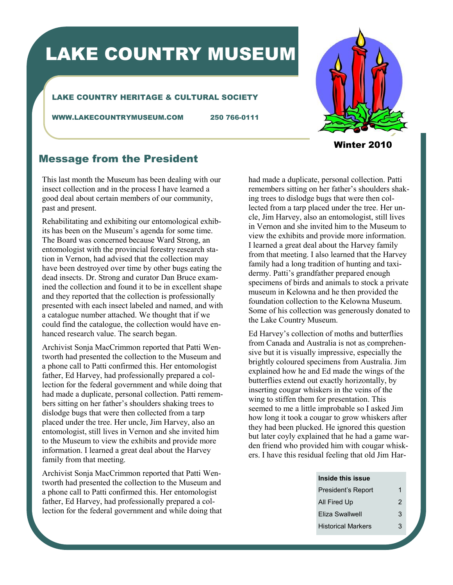# LAKE COUNTRY MUSEUM

### LAKE COUNTRY HERITAGE & CULTURAL SOCIETY

WWW.LAKECOUNTRYMUSEUM.COM 250 766-0111



Winter 2010

## Message from the President

This last month the Museum has been dealing with our insect collection and in the process I have learned a good deal about certain members of our community, past and present.

Rehabilitating and exhibiting our entomological exhibits has been on the Museum's agenda for some time. The Board was concerned because Ward Strong, an entomologist with the provincial forestry research station in Vernon, had advised that the collection may have been destroyed over time by other bugs eating the dead insects. Dr. Strong and curator Dan Bruce examined the collection and found it to be in excellent shape and they reported that the collection is professionally presented with each insect labeled and named, and with a catalogue number attached. We thought that if we could find the catalogue, the collection would have enhanced research value. The search began.

Archivist Sonja MacCrimmon reported that Patti Wentworth had presented the collection to the Museum and a phone call to Patti confirmed this. Her entomologist father, Ed Harvey, had professionally prepared a collection for the federal government and while doing that had made a duplicate, personal collection. Patti remembers sitting on her father's shoulders shaking trees to dislodge bugs that were then collected from a tarp placed under the tree. Her uncle, Jim Harvey, also an entomologist, still lives in Vernon and she invited him to the Museum to view the exhibits and provide more information. I learned a great deal about the Harvey family from that meeting.

Archivist Sonja MacCrimmon reported that Patti Wentworth had presented the collection to the Museum and a phone call to Patti confirmed this. Her entomologist father, Ed Harvey, had professionally prepared a collection for the federal government and while doing that

had made a duplicate, personal collection. Patti remembers sitting on her father's shoulders shaking trees to dislodge bugs that were then collected from a tarp placed under the tree. Her uncle, Jim Harvey, also an entomologist, still lives in Vernon and she invited him to the Museum to view the exhibits and provide more information. I learned a great deal about the Harvey family from that meeting. I also learned that the Harvey family had a long tradition of hunting and taxidermy. Patti's grandfather prepared enough specimens of birds and animals to stock a private museum in Kelowna and he then provided the foundation collection to the Kelowna Museum. Some of his collection was generously donated to the Lake Country Museum.

Ed Harvey's collection of moths and butterflies from Canada and Australia is not as comprehensive but it is visually impressive, especially the brightly coloured specimens from Australia. Jim explained how he and Ed made the wings of the butterflies extend out exactly horizontally, by inserting cougar whiskers in the veins of the wing to stiffen them for presentation. This seemed to me a little improbable so I asked Jim how long it took a cougar to grow whiskers after they had been plucked. He ignored this question but later coyly explained that he had a game warden friend who provided him with cougar whiskers. I have this residual feeling that old Jim Har-

#### **Inside this issue**

| President's Report        | 1 |
|---------------------------|---|
| All Fired Up              | 2 |
| Eliza Swallwell           | 3 |
| <b>Historical Markers</b> | З |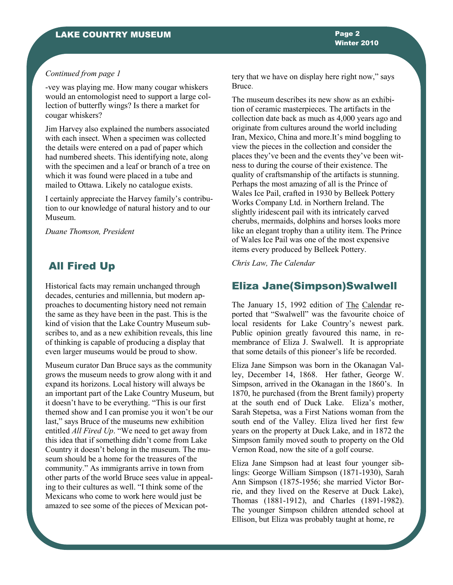#### *Continued from page 1*

-vey was playing me. How many cougar whiskers would an entomologist need to support a large collection of butterfly wings? Is there a market for cougar whiskers?

Jim Harvey also explained the numbers associated with each insect. When a specimen was collected the details were entered on a pad of paper which had numbered sheets. This identifying note, along with the specimen and a leaf or branch of a tree on which it was found were placed in a tube and mailed to Ottawa. Likely no catalogue exists.

I certainly appreciate the Harvey family's contribution to our knowledge of natural history and to our Museum.

*Duane Thomson, President*

## All Fired Up

Historical facts may remain unchanged through decades, centuries and millennia, but modern approaches to documenting history need not remain the same as they have been in the past. This is the kind of vision that the Lake Country Museum subscribes to, and as a new exhibition reveals, this line of thinking is capable of producing a display that even larger museums would be proud to show.

Museum curator Dan Bruce says as the community grows the museum needs to grow along with it and expand its horizons. Local history will always be an important part of the Lake Country Museum, but it doesn't have to be everything. "This is our first themed show and I can promise you it won't be our last," says Bruce of the museums new exhibition entitled *All Fired Up*. "We need to get away from this idea that if something didn't come from Lake Country it doesn't belong in the museum. The museum should be a home for the treasures of the community." As immigrants arrive in town from other parts of the world Bruce sees value in appealing to their cultures as well. "I think some of the Mexicans who come to work here would just be amazed to see some of the pieces of Mexican pottery that we have on display here right now," says Bruce.

The museum describes its new show as an exhibition of ceramic masterpieces. The artifacts in the collection date back as much as 4,000 years ago and originate from cultures around the world including Iran, Mexico, China and more.It's mind boggling to view the pieces in the collection and consider the places they've been and the events they've been witness to during the course of their existence. The quality of craftsmanship of the artifacts is stunning. Perhaps the most amazing of all is the Prince of Wales Ice Pail, crafted in 1930 by Belleek Pottery Works Company Ltd. in Northern Ireland. The slightly iridescent pail with its intricately carved cherubs, mermaids, dolphins and horses looks more like an elegant trophy than a utility item. The Prince of Wales Ice Pail was one of the most expensive items every produced by Belleek Pottery.

*Chris Law, The Calendar*

## Eliza Jane(Simpson)Swalwell

The January 15, 1992 edition of The Calendar reported that "Swalwell" was the favourite choice of local residents for Lake Country's newest park. Public opinion greatly favoured this name, in remembrance of Eliza J. Swalwell. It is appropriate that some details of this pioneer's life be recorded.

Eliza Jane Simpson was born in the Okanagan Valley, December 14, 1868. Her father, George W. Simpson, arrived in the Okanagan in the 1860's. In 1870, he purchased (from the Brent family) property at the south end of Duck Lake. Eliza's mother, Sarah Stepetsa, was a First Nations woman from the south end of the Valley. Eliza lived her first few years on the property at Duck Lake, and in 1872 the Simpson family moved south to property on the Old Vernon Road, now the site of a golf course.

Eliza Jane Simpson had at least four younger siblings: George William Simpson (1871-1930), Sarah Ann Simpson (1875-1956; she married Victor Borrie, and they lived on the Reserve at Duck Lake), Thomas (1881-1912), and Charles (1891-1982). The younger Simpson children attended school at Ellison, but Eliza was probably taught at home, re